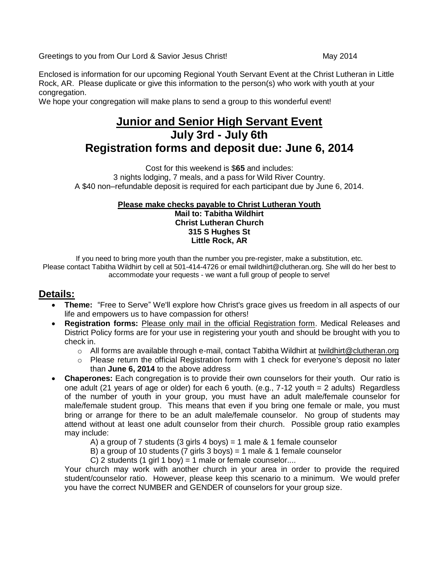Greetings to you from Our Lord & Savior Jesus Christ! May 2014

Enclosed is information for our upcoming Regional Youth Servant Event at the Christ Lutheran in Little Rock, AR. Please duplicate or give this information to the person(s) who work with youth at your congregation.

We hope your congregation will make plans to send a group to this wonderful event!

# **Junior and Senior High Servant Event July 3rd - July 6th Registration forms and deposit due: June 6, 2014**

Cost for this weekend is \$**65** and includes: 3 nights lodging, 7 meals, and a pass for Wild River Country. A \$40 non–refundable deposit is required for each participant due by June 6, 2014.

#### **Please make checks payable to Christ Lutheran Youth Mail to: Tabitha Wildhirt Christ Lutheran Church 315 S Hughes St Little Rock, AR**

If you need to bring more youth than the number you pre-register, make a substitution, etc. Please contact Tabitha Wildhirt by cell at 501-414-4726 or email twildhirt@clutheran.org. She will do her best to accommodate your requests - we want a full group of people to serve!

### **Details:**

- **Theme:** "Free to Serve" We'll explore how Christ's grace gives us freedom in all aspects of our life and empowers us to have compassion for others!
- **Registration forms:** Please only mail in the official Registration form. Medical Releases and District Policy forms are for your use in registering your youth and should be brought with you to check in.
	- o All forms are available through e-mail, contact Tabitha Wildhirt at twildhirt@clutheran.org
	- $\circ$  Please return the official Registration form with 1 check for everyone's deposit no later than **June 6, 2014** to the above address
- **Chaperones:** Each congregation is to provide their own counselors for their youth. Our ratio is one adult (21 years of age or older) for each 6 youth. (e.g., 7-12 youth = 2 adults) Regardless of the number of youth in your group, you must have an adult male/female counselor for male/female student group. This means that even if you bring one female or male, you must bring or arrange for there to be an adult male/female counselor. No group of students may attend without at least one adult counselor from their church. Possible group ratio examples may include:
	- A) a group of 7 students (3 girls 4 boys) = 1 male  $&$  1 female counselor
	- B) a group of 10 students (7 girls 3 boys) = 1 male  $&$  1 female counselor
	- C) 2 students (1 girl 1 boy) = 1 male or female counselor....

Your church may work with another church in your area in order to provide the required student/counselor ratio. However, please keep this scenario to a minimum. We would prefer you have the correct NUMBER and GENDER of counselors for your group size.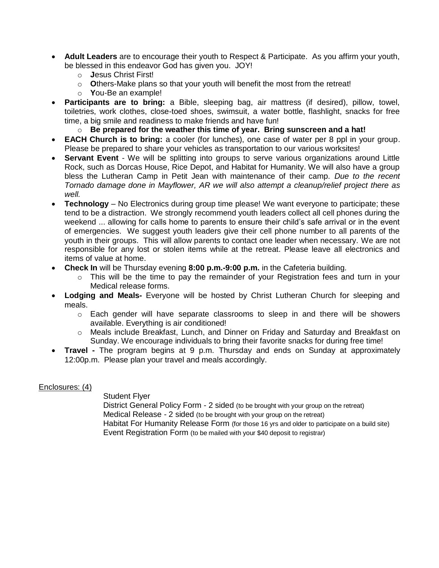- **Adult Leaders** are to encourage their youth to Respect & Participate. As you affirm your youth, be blessed in this endeavor God has given you. JOY!
	- o **J**esus Christ First!
	- o **O**thers-Make plans so that your youth will benefit the most from the retreat!
	- o **Y**ou-Be an example!
- **Participants are to bring:** a Bible, sleeping bag, air mattress (if desired), pillow, towel, toiletries, work clothes, close-toed shoes, swimsuit, a water bottle, flashlight, snacks for free time, a big smile and readiness to make friends and have fun!
	- o **Be prepared for the weather this time of year. Bring sunscreen and a hat!**
- **EACH Church is to bring:** a cooler (for lunches), one case of water per 8 ppl in your group. Please be prepared to share your vehicles as transportation to our various worksites!
- **Servant Event** We will be splitting into groups to serve various organizations around Little Rock, such as Dorcas House, Rice Depot, and Habitat for Humanity. We will also have a group bless the Lutheran Camp in Petit Jean with maintenance of their camp. *Due to the recent Tornado damage done in Mayflower, AR we will also attempt a cleanup/relief project there as well.*
- **Technology** No Electronics during group time please! We want everyone to participate; these tend to be a distraction. We strongly recommend youth leaders collect all cell phones during the weekend ... allowing for calls home to parents to ensure their child's safe arrival or in the event of emergencies. We suggest youth leaders give their cell phone number to all parents of the youth in their groups. This will allow parents to contact one leader when necessary. We are not responsible for any lost or stolen items while at the retreat. Please leave all electronics and items of value at home.
- **Check In** will be Thursday evening **8:00 p.m.-9:00 p.m.** in the Cafeteria building.
	- $\circ$  This will be the time to pay the remainder of your Registration fees and turn in your Medical release forms.
- **Lodging and Meals-** Everyone will be hosted by Christ Lutheran Church for sleeping and meals.
	- $\circ$  Each gender will have separate classrooms to sleep in and there will be showers available. Everything is air conditioned!
	- o Meals include Breakfast, Lunch, and Dinner on Friday and Saturday and Breakfast on Sunday. We encourage individuals to bring their favorite snacks for during free time!
- **Travel -** The program begins at 9 p.m. Thursday and ends on Sunday at approximately 12:00p.m. Please plan your travel and meals accordingly.

### Enclosures: (4)

Student Flyer

District General Policy Form - 2 sided (to be brought with your group on the retreat) Medical Release - 2 sided (to be brought with your group on the retreat) Habitat For Humanity Release Form (for those 16 yrs and older to participate on a build site) Event Registration Form (to be mailed with your \$40 deposit to registrar)